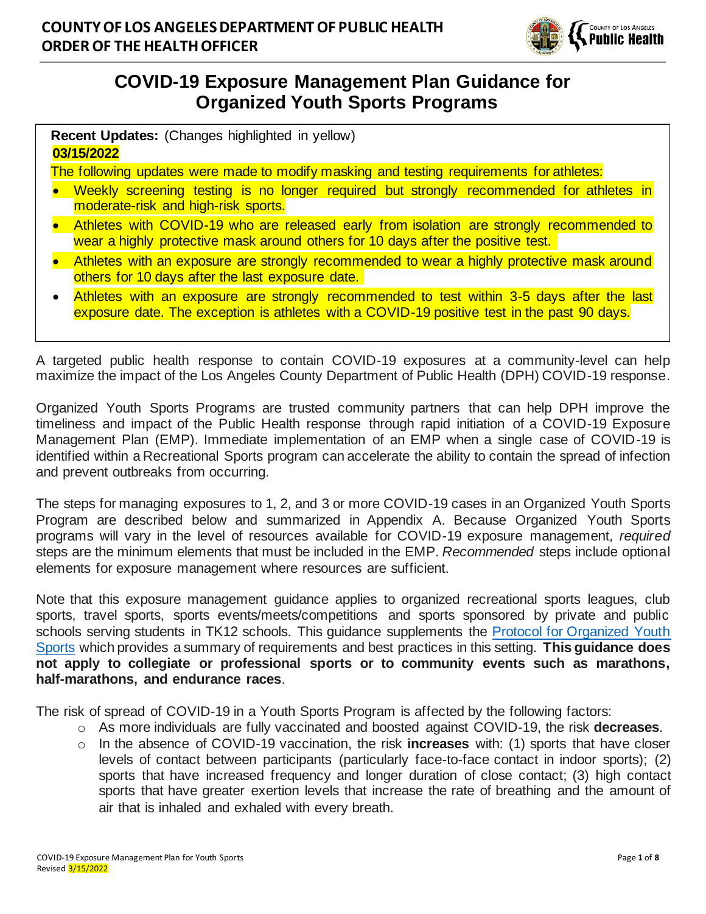

# **COVID-19 Exposure Management Plan Guidance for Organized Youth Sports Programs**

| <b>Recent Updates:</b> (Changes highlighted in yellow) |  |  |
|--------------------------------------------------------|--|--|
| 03/15/2022                                             |  |  |

The following updates were made to modify masking and testing requirements for athletes:

- Weekly screening testing is no longer required but strongly recommended for athletes in moderate-risk and high-risk sports.
- Athletes with COVID-19 who are released early from isolation are strongly recommended to wear a highly protective mask around others for 10 days after the positive test.
- Athletes with an exposure are strongly recommended to wear a highly protective mask around others for 10 days after the last exposure date.
- Athletes with an exposure are strongly recommended to test within 3-5 days after the last exposure date. The exception is athletes with a COVID-19 positive test in the past 90 days.

A targeted public health response to contain COVID-19 exposures at a community-level can help maximize the impact of the Los Angeles County Department of Public Health (DPH) COVID-19 response.

Organized Youth Sports Programs are trusted community partners that can help DPH improve the timeliness and impact of the Public Health response through rapid initiation of a COVID-19 Exposure Management Plan (EMP). Immediate implementation of an EMP when a single case of COVID-19 is identified within a Recreational Sports program can accelerate the ability to contain the spread of infection and prevent outbreaks from occurring.

The steps for managing exposures to 1, 2, and 3 or more COVID-19 cases in an Organized Youth Sports Program are described below and summarized in Appendix A. Because Organized Youth Sports programs will vary in the level of resources available for COVID-19 exposure management, *required*  steps are the minimum elements that must be included in the EMP. *Recommended* steps include optional elements for exposure management where resources are sufficient.

Note that this exposure management guidance applies to organized recreational sports leagues, club sports, travel sports, sports events/meets/competitions and sports sponsored by private and public schools serving students in TK12 schools. This guidance supplements the [Protocol for Organized Youth](http://www.publichealth.lacounty.gov/media/Coronavirus/docs/protocols/Reopening_YouthSports.pdf)  [Sports](http://www.publichealth.lacounty.gov/media/Coronavirus/docs/protocols/Reopening_YouthSports.pdf) which provides a summary of requirements and best practices in this setting. **This guidance does not apply to collegiate or professional sports or to community events such as marathons, half-marathons, and endurance races**.

The risk of spread of COVID-19 in a Youth Sports Program is affected by the following factors:

- o As more individuals are fully vaccinated and boosted against COVID-19, the risk **decreases**.
- o In the absence of COVID-19 vaccination, the risk **increases** with: (1) sports that have closer levels of contact between participants (particularly face-to-face contact in indoor sports); (2) sports that have increased frequency and longer duration of close contact; (3) high contact sports that have greater exertion levels that increase the rate of breathing and the amount of air that is inhaled and exhaled with every breath.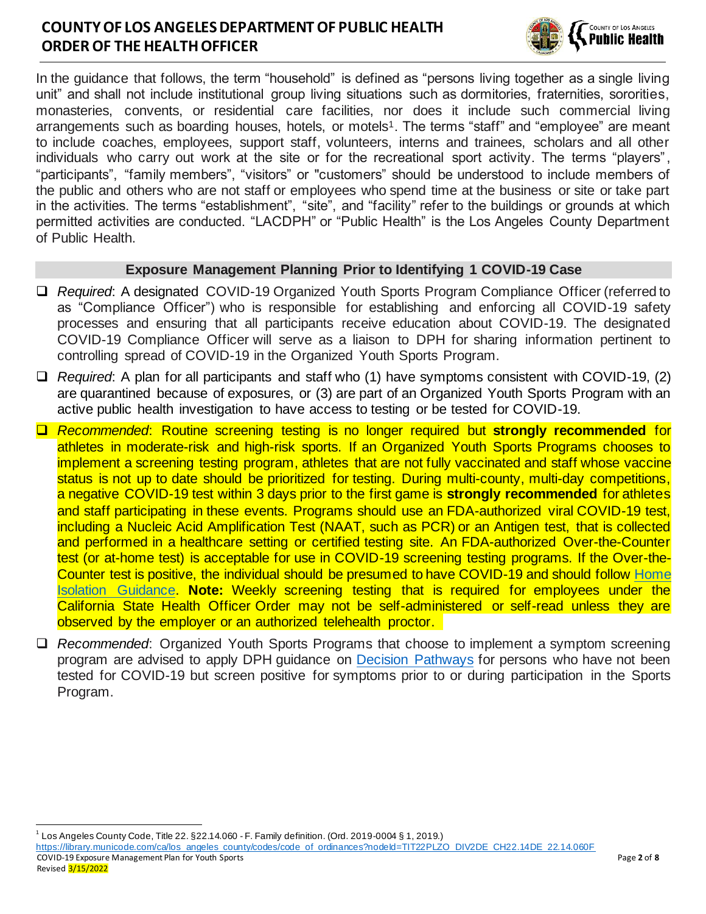

In the guidance that follows, the term "household" is defined as "persons living together as a single living unit" and shall not include institutional group living situations such as dormitories, fraternities, sororities, monasteries, convents, or residential care facilities, nor does it include such commercial living arrangements such as boarding houses, hotels, or motels<sup>1</sup>. The terms "staff" and "employee" are meant to include coaches, employees, support staff, volunteers, interns and trainees, scholars and all other individuals who carry out work at the site or for the recreational sport activity. The terms "players", "participants", "family members", "visitors" or "customers" should be understood to include members of the public and others who are not staff or employees who spend time at the business or site or take part in the activities. The terms "establishment", "site", and "facility" refer to the buildings or grounds at which permitted activities are conducted. "LACDPH" or "Public Health" is the Los Angeles County Department of Public Health.

#### **Exposure Management Planning Prior to Identifying 1 COVID-19 Case**

- ❑ *Required*: A designated COVID-19 Organized Youth Sports Program Compliance Officer (referred to as "Compliance Officer") who is responsible for establishing and enforcing all COVID-19 safety processes and ensuring that all participants receive education about COVID-19. The designated COVID-19 Compliance Officer will serve as a liaison to DPH for sharing information pertinent to controlling spread of COVID-19 in the Organized Youth Sports Program.
- ❑ *Required*: A plan for all participants and staff who (1) have symptoms consistent with COVID-19, (2) are quarantined because of exposures, or (3) are part of an Organized Youth Sports Program with an active public health investigation to have access to testing or be tested for COVID-19.
- ❑ *Recommended*: Routine screening testing is no longer required but **strongly recommended** for athletes in moderate-risk and high-risk sports. If an Organized Youth Sports Programs chooses to implement a screening testing program, athletes that are not fully vaccinated and staff whose vaccine status is not up to date should be prioritized for testing. During multi-county, multi-day competitions, a negative COVID-19 test within 3 days prior to the first game is **strongly recommended** for athletes and staff participating in these events. Programs should use an FDA-authorized viral COVID-19 test, including a Nucleic Acid Amplification Test (NAAT, such as PCR) or an Antigen test, that is collected and performed in a healthcare setting or certified testing site. An FDA-authorized Over-the-Counter test (or at-home test) is acceptable for use in COVID-19 screening testing programs. If the Over-the-Counter test is positive, the individual should be presumed to have COVID-19 and should follow [Home](http://publichealth.lacounty.gov/acd/ncorona2019/covidisolation/)  [Isolation Guidance.](http://publichealth.lacounty.gov/acd/ncorona2019/covidisolation/) **Note:** Weekly screening testing that is required for employees under the California State Health Officer Order may not be self-administered or self-read unless they are observed by the employer or an authorized telehealth proctor.
- ❑ *Recommended*: Organized Youth Sports Programs that choose to implement a symptom screening program are advised to apply DPH guidance on **Decision Pathways** for persons who have not been tested for COVID-19 but screen positive for symptoms prior to or during participation in the Sports Program.

1 Los Angeles County Code, Title 22. §22.14.060 - F. Family definition. (Ord. 2019-0004 § 1, 2019.)

COVID-19 Exposure Management Plan for Youth Sports Page **2** of **8** [https://library.municode.com/ca/los\\_angeles\\_county/codes/code\\_of\\_ordinances?nodeId=TIT22PLZO\\_DIV2DE\\_CH22.14DE\\_22.14.060F](https://library.municode.com/ca/los_angeles_county/codes/code_of_ordinances?nodeId=TIT22PLZO_DIV2DE_CH22.14DE_22.14.060F)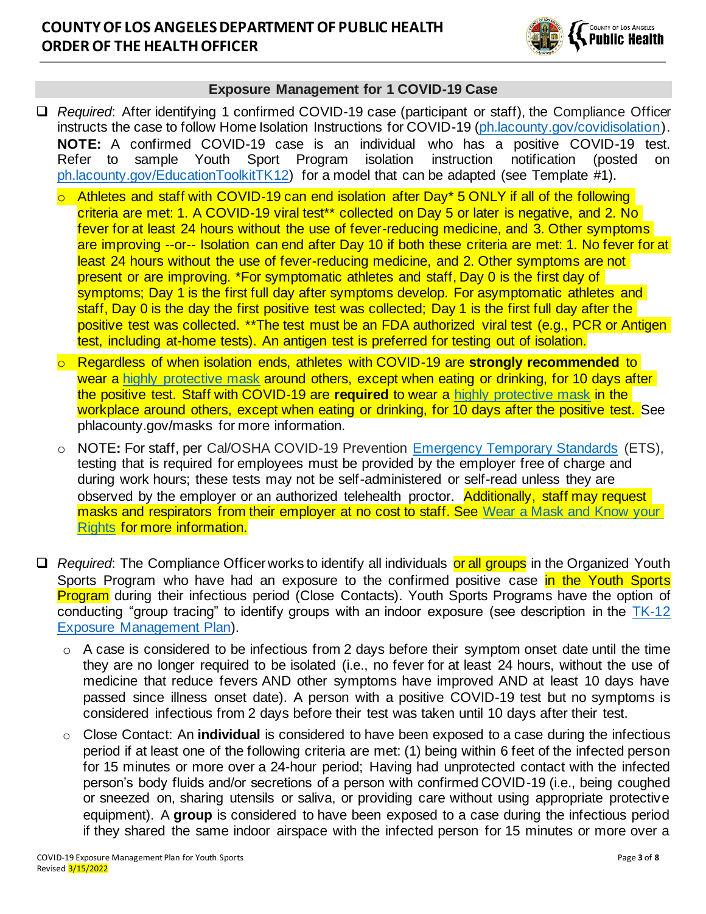

#### **Exposure Management for 1 COVID-19 Case**

- ❑ *Required*: After identifying 1 confirmed COVID-19 case (participant or staff), the Compliance Officer instructs the case to follow Home Isolation Instructions for COVID-19 (ph. lacounty.gov/covidisolation). **NOTE:** A confirmed COVID-19 case is an individual who has a positive COVID-19 test. Refer to sample Youth Sport Program isolation instruction notification (posted on [ph.lacounty.gov/EducationToolkitTK12\)](http://ph.lacounty.gov/acd/ncorona2019/EducationToolkit/tk12/) for a model that can be adapted (see Template #1).
	- o Athletes and staff with COVID-19 can end isolation after Day\* 5 ONLY if all of the following criteria are met: 1. A COVID-19 viral test\*\* collected on Day 5 or later is negative, and 2. No fever for at least 24 hours without the use of fever-reducing medicine, and 3. Other symptoms are improving --or-- Isolation can end after Day 10 if both these criteria are met: 1. No fever for at least 24 hours without the use of fever-reducing medicine, and 2. Other symptoms are not present or are improving. \*For symptomatic athletes and staff, Day 0 is the first day of symptoms; Day 1 is the first full day after symptoms develop. For asymptomatic athletes and staff, Day 0 is the day the first positive test was collected; Day 1 is the first full day after the positive test was collected. \*\*The test must be an FDA authorized viral test (e.g., PCR or Antigen test, including at-home tests). An antigen test is preferred for testing out of isolation.
	- Regardless of when isolation ends, athletes with COVID-19 are strongly recommended to wear a [highly protective mask](http://publichealth.lacounty.gov/acd/ncorona2019/masks/#kindofmask) around others, except when eating or drinking, for 10 days after the positive test. Staff with COVID-19 are **required** to wear a [highly protective mask](http://publichealth.lacounty.gov/acd/ncorona2019/masks/#kindofmask) in the workplace around others, except when eating or drinking, for 10 days after the positive test. See phlacounty.gov/masks for more information.
	- o NOTE**:** For staff, per Cal/OSHA COVID-19 Prevention [Emergency Temporary Standards](https://www.dir.ca.gov/dosh/coronavirus/ETS.html) (ETS), testing that is required for employees must be provided by the employer free of charge and during work hours; these tests may not be self-administered or self-read unless they are observed by the employer or an authorized telehealth proctor. Additionally, staff may request masks and respirators from their employer at no cost to staff. See Wear a Mask and Know your [Rights](http://www.publichealth.lacounty.gov/media/Coronavirus/docs/business/UpgradeMaskRequirement.pdf) for more information.
- □ *Required*: The Compliance Officer works to identify all individuals or all groups in the Organized Youth Sports Program who have had an exposure to the confirmed positive case in the Youth Sports Program during their infectious period (Close Contacts). Youth Sports Programs have the option of conducting "group tracing" to identify groups with an indoor exposure (see description in the [TK-12](http://publichealth.lacounty.gov/media/Coronavirus/docs/protocols/ExposureManagementPlan_K12Schools.pdf)  [Exposure Management Plan\)](http://publichealth.lacounty.gov/media/Coronavirus/docs/protocols/ExposureManagementPlan_K12Schools.pdf).
	- $\circ$  A case is considered to be infectious from 2 days before their symptom onset date until the time they are no longer required to be isolated (i.e., no fever for at least 24 hours, without the use of medicine that reduce fevers AND other symptoms have improved AND at least 10 days have passed since illness onset date). A person with a positive COVID-19 test but no symptoms is considered infectious from 2 days before their test was taken until 10 days after their test.
	- o Close Contact: An **individual** is considered to have been exposed to a case during the infectious period if at least one of the following criteria are met: (1) being within 6 feet of the infected person for 15 minutes or more over a 24-hour period; Having had unprotected contact with the infected person's body fluids and/or secretions of a person with confirmed COVID-19 (i.e., being coughed or sneezed on, sharing utensils or saliva, or providing care without using appropriate protective equipment). A **group** is considered to have been exposed to a case during the infectious period if they shared the same indoor airspace with the infected person for 15 minutes or more over a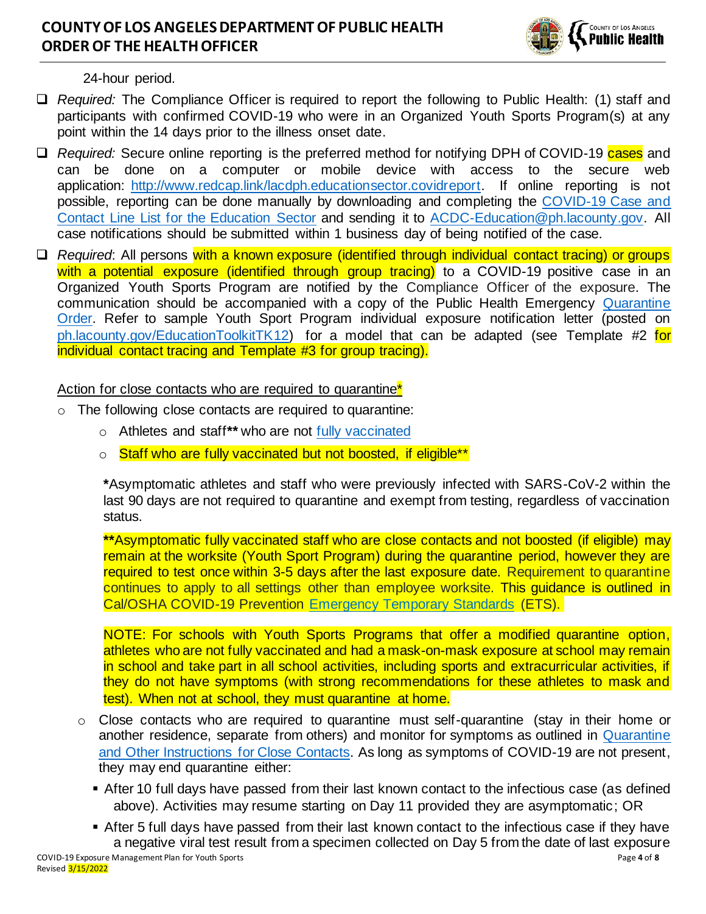

24-hour period.

- ❑ *Required:* The Compliance Officer is required to report the following to Public Health: (1) staff and participants with confirmed COVID-19 who were in an Organized Youth Sports Program(s) at any point within the 14 days prior to the illness onset date.
- □ *Required:* Secure online reporting is the preferred method for notifying DPH of COVID-19 cases and can be done on a computer or mobile device with access to the secure web application: [http://www.redcap.link/lacdph.educationsector.covidreport.](http://www.redcap.link/lacdph.educationsector.covidreport) If online reporting is not possible, reporting can be done manually by downloading and completing the [COVID-19 Case and](http://publichealth.lacounty.gov/acd/Diseases/EpiForms/COVID_OBlinelist_Education_Sector.xlsm)  [Contact Line List for the Education Sector](http://publichealth.lacounty.gov/acd/Diseases/EpiForms/COVID_OBlinelist_Education_Sector.xlsm) and sending it to [ACDC-Education@ph.lacounty.gov.](mailto:ACDC-Education@ph.lacounty.gov) All case notifications should be submitted within 1 business day of being notified of the case.
- ❑ *Required*: All persons with a known exposure (identified through individual contact tracing) or groups with a potential exposure (identified through group tracing) to a COVID-19 positive case in an Organized Youth Sports Program are notified by the Compliance Officer of the exposure. The communication should be accompanied with a copy of the Public Health Emergency [Quarantine](http://publichealth.lacounty.gov/media/Coronavirus/docs/HOO/HOO_Coronavirus_Blanket_Quarantine.pdf)  [Order.](http://publichealth.lacounty.gov/media/Coronavirus/docs/HOO/HOO_Coronavirus_Blanket_Quarantine.pdf) Refer to sample Youth Sport Program individual exposure notification letter (posted on [ph.lacounty.gov/EducationToolkitTK12\)](http://ph.lacounty.gov/acd/ncorona2019/EducationToolkit/tk12/) for a model that can be adapted (see Template #2 for individual contact tracing and Template #3 for group tracing).

#### Action for close contacts who are required to quarantine<sup>\*</sup>

- o The following close contacts are required to quarantine:
	- o Athletes and staff**\*\*** who are not [fully vaccinated](http://publichealth.lacounty.gov/acd/ncorona2019/vaccine/fullyvaccinated/)
	- o Staff who are fully vaccinated but not boosted, if eligible<sup>\*\*</sup>

**\***Asymptomatic athletes and staff who were previously infected with SARS-CoV-2 within the last 90 days are not required to quarantine and exempt from testing, regardless of vaccination status.

**\*\***Asymptomatic fully vaccinated staff who are close contacts and not boosted (if eligible) may remain at the worksite (Youth Sport Program) during the quarantine period, however they are required to test once within 3-5 days after the last exposure date. Requirement to quarantine continues to apply to all settings other than employee worksite. This guidance is outlined in Cal/OSHA COVID-19 Prevention [Emergency Temporary Standards](https://www.dir.ca.gov/dosh/coronavirus/ETS.html) (ETS).

NOTE: For schools with Youth Sports Programs that offer a modified quarantine option, athletes who are not fully vaccinated and had a mask-on-mask exposure at school may remain in school and take part in all school activities, including sports and extracurricular activities, if they do not have symptoms (with strong recommendations for these athletes to mask and test). When not at school, they must quarantine at home.

- o Close contacts who are required to quarantine must self-quarantine (stay in their home or another residence, separate from others) and monitor for symptoms as outlined in [Quarantine](http://publichealth.lacounty.gov/acd/ncorona2019/covidquarantine/)  [and Other Instructions for Close Contacts.](http://publichealth.lacounty.gov/acd/ncorona2019/covidquarantine/) As long as symptoms of COVID-19 are not present, they may end quarantine either:
	- **After 10 full days have passed from their last known contact to the infectious case (as defined** above). Activities may resume starting on Day 11 provided they are asymptomatic; OR
- COVID-19 Exposure Management Plan for Youth Sports Page **4** of **8** ■ After 5 full days have passed from their last known contact to the infectious case if they have a negative viral test result from a specimen collected on Day 5 from the date of last exposure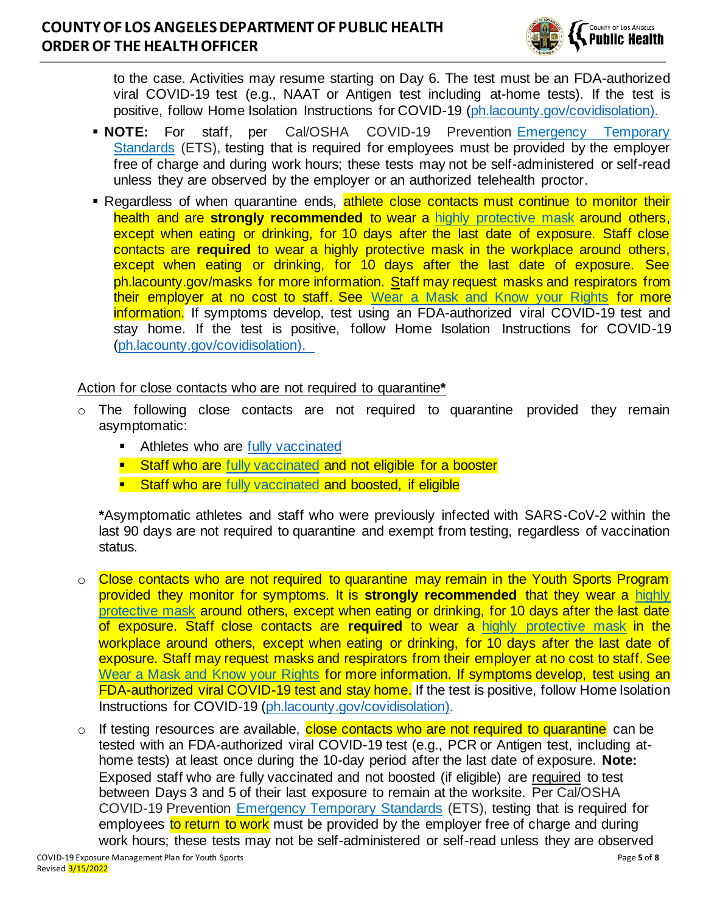

to the case. Activities may resume starting on Day 6. The test must be an FDA-authorized viral COVID-19 test (e.g., NAAT or Antigen test including at-home tests). If the test is positive, follow Home Isolation Instructions for COVID-19 [\(ph.lacounty.gov/covidisolation\).](http://publichealth.lacounty.gov/acd/ncorona2019/covidisolation/)

- **NOTE:** For staff, per Cal/OSHA COVID-19 Prevention [Emergency Temporary](https://www.dir.ca.gov/dosh/coronavirus/ETS.html)  [Standards](https://www.dir.ca.gov/dosh/coronavirus/ETS.html) (ETS), testing that is required for employees must be provided by the employer free of charge and during work hours; these tests may not be self-administered or self-read unless they are observed by the employer or an authorized telehealth proctor.
- **E** Regardless of when quarantine ends, athlete close contacts must continue to monitor their health and are **strongly recommended** to wear a [highly protective mask](http://publichealth.lacounty.gov/acd/ncorona2019/masks/#kindofmask) around others, except when eating or drinking, for 10 days after the last date of exposure. Staff close contacts are **required** to wear a highly protective mask in the workplace around others, except when eating or drinking, for 10 days after the last date of exposure. See ph.lacounty.gov/masks for more information. Staff may request masks and respirators from their employer at no cost to staff. See [Wear a Mask and Know your Rights](http://www.publichealth.lacounty.gov/media/Coronavirus/docs/business/UpgradeMaskRequirement.pdf) for more information. If symptoms develop, test using an FDA-authorized viral COVID-19 test and stay home. If the test is positive, follow Home Isolation Instructions for COVID-19 [\(ph.lacounty.gov/covidisolation\).](http://publichealth.lacounty.gov/acd/ncorona2019/covidisolation/)

#### Action for close contacts who are not required to quarantine**\***

- $\circ$  The following close contacts are not required to quarantine provided they remain asymptomatic:
	- **E** Athletes who are [fully vaccinated](http://publichealth.lacounty.gov/acd/ncorona2019/vaccine/fullyvaccinated/)
	- **EXT** Staff who are [fully vaccinated](http://publichealth.lacounty.gov/acd/ncorona2019/vaccine/fullyvaccinated/) and not eligible for a booster
	- **EXTERF** Staff who are [fully vaccinated](http://publichealth.lacounty.gov/acd/ncorona2019/vaccine/fullyvaccinated/) and boosted, if eligible

**\***Asymptomatic athletes and staff who were previously infected with SARS-CoV-2 within the last 90 days are not required to quarantine and exempt from testing, regardless of vaccination status.

- o Close contacts who are not required to quarantine may remain in the Youth Sports Program provided they monitor for symptoms. It is **strongly recommended** that they wear a [highly](http://publichealth.lacounty.gov/acd/ncorona2019/masks/#kindofmask)  [protective mask](http://publichealth.lacounty.gov/acd/ncorona2019/masks/#kindofmask) around others, except when eating or drinking, for 10 days after the last date of exposure. Staff close contacts are **required** to wear a [highly protective mask](http://publichealth.lacounty.gov/acd/ncorona2019/masks/#kindofmask) in the workplace around others, except when eating or drinking, for 10 days after the last date of exposure. Staff may request masks and respirators from their employer at no cost to staff. See [Wear a Mask and Know your Rights](http://www.publichealth.lacounty.gov/media/Coronavirus/docs/business/UpgradeMaskRequirement.pdf) for more information. If symptoms develop, test using an FDA-authorized viral COVID-19 test and stay home. If the test is positive, follow Home Isolation Instructions for COVID-19 [\(ph.lacounty.gov/covidisolation\).](http://publichealth.lacounty.gov/acd/ncorona2019/covidisolation/)
- $\circ$  If testing resources are available, close contacts who are not required to quarantine can be tested with an FDA-authorized viral COVID-19 test (e.g., PCR or Antigen test, including athome tests) at least once during the 10-day period after the last date of exposure. **Note:** Exposed staff who are fully vaccinated and not boosted (if eligible) are required to test between Days 3 and 5 of their last exposure to remain at the worksite. Per Cal/OSHA COVID-19 Prevention [Emergency Temporary Standards](https://www.dir.ca.gov/dosh/coronavirus/ETS.html) (ETS), testing that is required for employees to return to work must be provided by the employer free of charge and during work hours; these tests may not be self-administered or self-read unless they are observed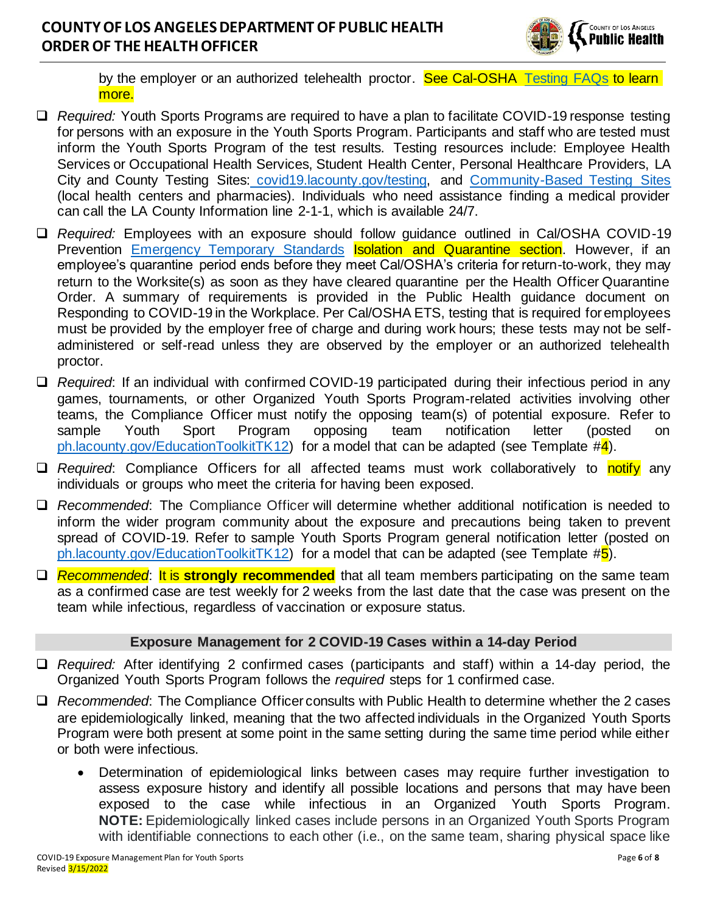

by the employer or an authorized telehealth proctor. See Cal-OSHA [Testing FAQs](https://www.dir.ca.gov/dosh/coronavirus/covid19faqs.html#testing) to learn more.

- ❑ *Required:* Youth Sports Programs are required to have a plan to facilitate COVID-19 response testing for persons with an exposure in the Youth Sports Program. Participants and staff who are tested must inform the Youth Sports Program of the test results. Testing resources include: Employee Health Services or Occupational Health Services, Student Health Center, Personal Healthcare Providers, LA City and County Testing Sites: [covid19.lacounty.gov/testing,](https://covid19.lacounty.gov/testing/) and [Community-Based Testing Sites](https://www.hhs.gov/coronavirus/community-based-testing-sites/index.html) (local health centers and pharmacies). Individuals who need assistance finding a medical provider can call the LA County Information line 2-1-1, which is available 24/7.
- ❑ *Required:* Employees with an exposure should follow guidance outlined in Cal/OSHA COVID-19 Prevention [Emergency Temporary Standards](https://www.dir.ca.gov/dosh/coronavirus/ETS.html) **Isolation and Quarantine section**. However, if an employee's quarantine period ends before they meet Cal/OSHA's criteria for return-to-work, they may return to the Worksite(s) as soon as they have cleared quarantine per the Health Officer Quarantine Order. A summary of requirements is provided in the Public Health guidance document on Responding to COVID-19 in the Workplace. Per Cal/OSHA ETS, testing that is required foremployees must be provided by the employer free of charge and during work hours; these tests may not be selfadministered or self-read unless they are observed by the employer or an authorized telehealth proctor.
- ❑ *Required*: If an individual with confirmed COVID-19 participated during their infectious period in any games, tournaments, or other Organized Youth Sports Program-related activities involving other teams, the Compliance Officer must notify the opposing team(s) of potential exposure. Refer to sample Youth Sport Program opposing team notification letter (posted on [ph.lacounty.gov/EducationToolkitTK12\)](http://ph.lacounty.gov/acd/ncorona2019/EducationToolkit/tk12/) for a model that can be adapted (see Template  $\#\frac{1}{4}$ ).
- □ *Required*: Compliance Officers for all affected teams must work collaboratively to notify any individuals or groups who meet the criteria for having been exposed.
- ❑ *Recommended*: The Compliance Officer will determine whether additional notification is needed to inform the wider program community about the exposure and precautions being taken to prevent spread of COVID-19. Refer to sample Youth Sports Program general notification letter (posted on [ph.lacounty.gov/EducationToolkitTK12\)](http://ph.lacounty.gov/acd/ncorona2019/EducationToolkit/tk12/) for a model that can be adapted (see Template  $#5$ ).
- ❑ *Recommended*: It is **strongly recommended** that all team members participating on the same team as a confirmed case are test weekly for 2 weeks from the last date that the case was present on the team while infectious, regardless of vaccination or exposure status.

#### **Exposure Management for 2 COVID-19 Cases within a 14-day Period**

- ❑ *Required:* After identifying 2 confirmed cases (participants and staff) within a 14-day period, the Organized Youth Sports Program follows the *required* steps for 1 confirmed case.
- ❑ *Recommended*: The Compliance Officer consults with Public Health to determine whether the 2 cases are epidemiologically linked, meaning that the two affected individuals in the Organized Youth Sports Program were both present at some point in the same setting during the same time period while either or both were infectious.
	- Determination of epidemiological links between cases may require further investigation to assess exposure history and identify all possible locations and persons that may have been exposed to the case while infectious in an Organized Youth Sports Program. **NOTE:** Epidemiologically linked cases include persons in an Organized Youth Sports Program with identifiable connections to each other (i.e., on the same team, sharing physical space like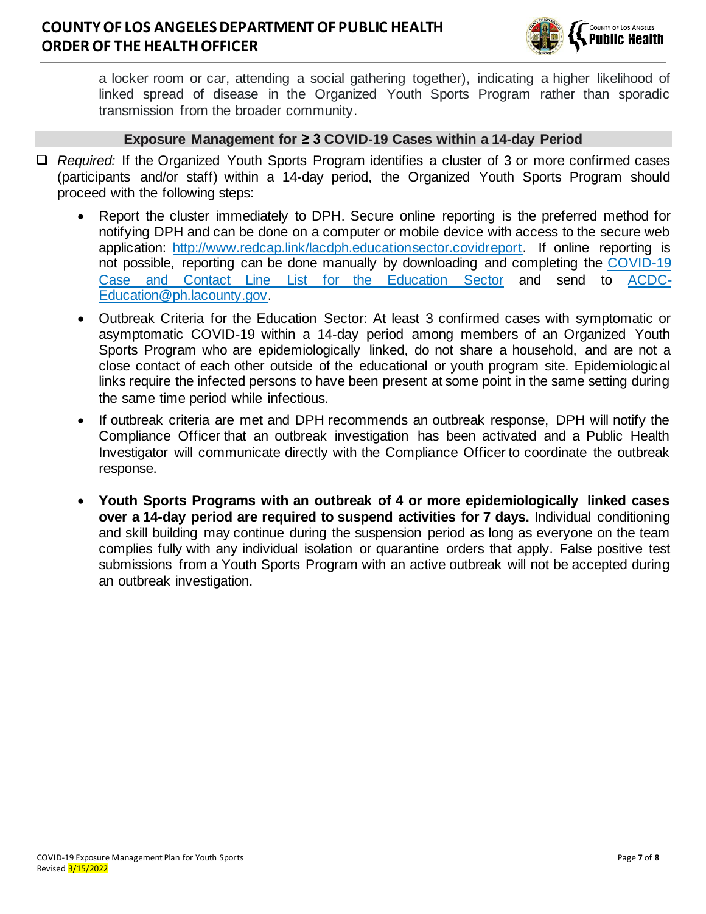

a locker room or car, attending a social gathering together), indicating a higher likelihood of linked spread of disease in the Organized Youth Sports Program rather than sporadic transmission from the broader community.

#### **Exposure Management for ≥ 3 COVID-19 Cases within a 14-day Period**

- ❑ *Required:* If the Organized Youth Sports Program identifies a cluster of 3 or more confirmed cases (participants and/or staff) within a 14-day period, the Organized Youth Sports Program should proceed with the following steps:
	- Report the cluster immediately to DPH. Secure online reporting is the preferred method for notifying DPH and can be done on a computer or mobile device with access to the secure web application: [http://www.redcap.link/lacdph.educationsector.covidreport.](http://www.redcap.link/lacdph.educationsector.covidreport) If online reporting is not possible, reporting can be done manually by downloading and completing the [COVID-19](http://publichealth.lacounty.gov/acd/Diseases/EpiForms/COVID_OBlinelist_Education_Sector.xlsm)  [Case and Contact Line List for the Education Sector](http://publichealth.lacounty.gov/acd/Diseases/EpiForms/COVID_OBlinelist_Education_Sector.xlsm) and send to [ACDC-](mailto:ACDC-Education@ph.lacounty.gov)[Education@ph.lacounty.gov.](mailto:ACDC-Education@ph.lacounty.gov)
	- Outbreak Criteria for the Education Sector: At least 3 confirmed cases with symptomatic or asymptomatic COVID-19 within a 14-day period among members of an Organized Youth Sports Program who are epidemiologically linked, do not share a household, and are not a close contact of each other outside of the educational or youth program site. Epidemiological links require the infected persons to have been present at some point in the same setting during the same time period while infectious.
	- If outbreak criteria are met and DPH recommends an outbreak response, DPH will notify the Compliance Officer that an outbreak investigation has been activated and a Public Health Investigator will communicate directly with the Compliance Officer to coordinate the outbreak response.
	- **Youth Sports Programs with an outbreak of 4 or more epidemiologically linked cases over a 14-day period are required to suspend activities for 7 days.** Individual conditioning and skill building may continue during the suspension period as long as everyone on the team complies fully with any individual isolation or quarantine orders that apply. False positive test submissions from a Youth Sports Program with an active outbreak will not be accepted during an outbreak investigation.